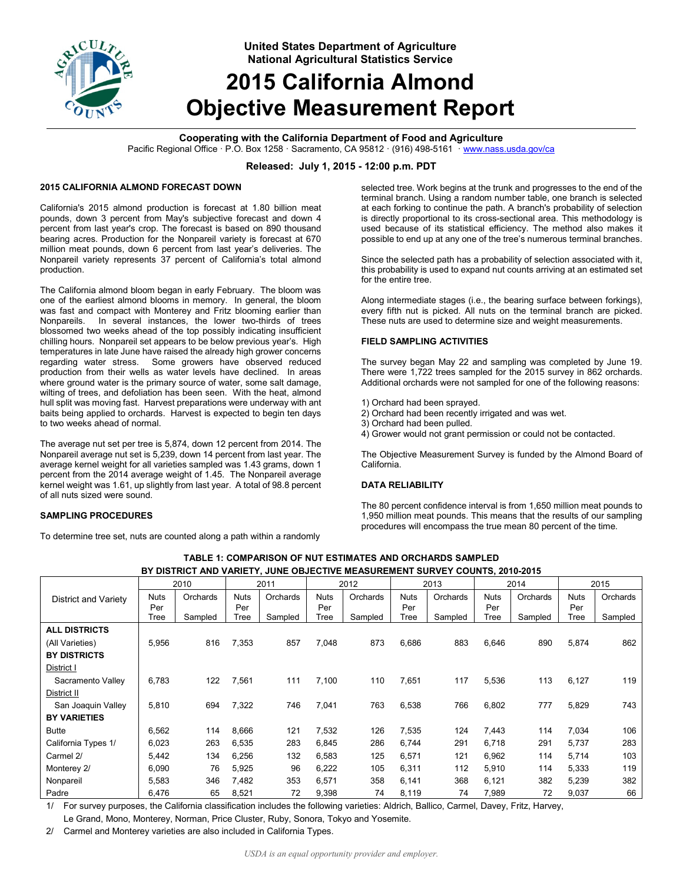

**United States Department of Agriculture National Agricultural Statistics Service**

# **2015 California Almond Objective Measurement Report**

# **Cooperating with the California Department of Food and Agriculture**

Pacific Regional Office · P.O. Box 1258 · Sacramento, CA 95812 · (916) 498-5161 · www.nass.usda.gov/ca

# **Released: July 1, 2015 - 12:00 p.m. PDT**

# **2015 CALIFORNIA ALMOND FORECAST DOWN**

California's 2015 almond production is forecast at 1.80 billion meat pounds, down 3 percent from May's subjective forecast and down 4 percent from last year's crop. The forecast is based on 890 thousand bearing acres. Production for the Nonpareil variety is forecast at 670 million meat pounds, down 6 percent from last year's deliveries. The Nonpareil variety represents 37 percent of California's total almond production.

The California almond bloom began in early February. The bloom was one of the earliest almond blooms in memory. In general, the bloom was fast and compact with Monterey and Fritz blooming earlier than Nonpareils. In several instances, the lower two-thirds of trees blossomed two weeks ahead of the top possibly indicating insufficient chilling hours. Nonpareil set appears to be below previous year's. High temperatures in late June have raised the already high grower concerns regarding water stress. Some growers have observed reduced production from their wells as water levels have declined. In areas where ground water is the primary source of water, some salt damage, wilting of trees, and defoliation has been seen. With the heat, almond hull split was moving fast. Harvest preparations were underway with ant baits being applied to orchards. Harvest is expected to begin ten days to two weeks ahead of normal.

The average nut set per tree is 5,874, down 12 percent from 2014. The Nonpareil average nut set is 5,239, down 14 percent from last year. The average kernel weight for all varieties sampled was 1.43 grams, down 1 percent from the 2014 average weight of 1.45. The Nonpareil average kernel weight was 1.61, up slightly from last year. A total of 98.8 percent of all nuts sized were sound.

### **SAMPLING PROCEDURES**

To determine tree set, nuts are counted along a path within a randomly

selected tree. Work begins at the trunk and progresses to the end of the terminal branch. Using a random number table, one branch is selected at each forking to continue the path. A branch's probability of selection is directly proportional to its cross-sectional area. This methodology is used because of its statistical efficiency. The method also makes it possible to end up at any one of the tree's numerous terminal branches.

Since the selected path has a probability of selection associated with it, this probability is used to expand nut counts arriving at an estimated set for the entire tree.

Along intermediate stages (i.e., the bearing surface between forkings), every fifth nut is picked. All nuts on the terminal branch are picked. These nuts are used to determine size and weight measurements.

### **FIELD SAMPLING ACTIVITIES**

The survey began May 22 and sampling was completed by June 19. There were 1,722 trees sampled for the 2015 survey in 862 orchards. Additional orchards were not sampled for one of the following reasons:

- 1) Orchard had been sprayed.
- 2) Orchard had been recently irrigated and was wet.
- 3) Orchard had been pulled.
- 4) Grower would not grant permission or could not be contacted.

The Objective Measurement Survey is funded by the Almond Board of California.

### **DATA RELIABILITY**

The 80 percent confidence interval is from 1,650 million meat pounds to 1,950 million meat pounds. This means that the results of our sampling procedures will encompass the true mean 80 percent of the time.

| BY DISTRICT AND VARIETY, JUNE OBJECTIVE MEASUREMENT SURVEY COUNTS, 2010-2015 |                    |          |                    |          |                    |          |                    |          |             |          |             |          |
|------------------------------------------------------------------------------|--------------------|----------|--------------------|----------|--------------------|----------|--------------------|----------|-------------|----------|-------------|----------|
|                                                                              | 2010               |          | 2011               |          | 2012               |          | 2013               |          | 2014        |          | 2015        |          |
| District and Variety                                                         | <b>Nuts</b><br>Per | Orchards | <b>Nuts</b><br>Per | Orchards | <b>Nuts</b><br>Per | Orchards | <b>Nuts</b><br>Per | Orchards | Nuts<br>Per | Orchards | Nuts<br>Per | Orchards |
|                                                                              | Tree               | Sampled  | Tree               | Sampled  | Tree               | Sampled  | Tree               | Sampled  | Tree        | Sampled  | Tree        | Sampled  |
| <b>ALL DISTRICTS</b>                                                         |                    |          |                    |          |                    |          |                    |          |             |          |             |          |
| (All Varieties)                                                              | 5,956              | 816      | 7,353              | 857      | 7,048              | 873      | 6,686              | 883      | 6,646       | 890      | 5,874       | 862      |
| <b>BY DISTRICTS</b>                                                          |                    |          |                    |          |                    |          |                    |          |             |          |             |          |
| District I                                                                   |                    |          |                    |          |                    |          |                    |          |             |          |             |          |
| Sacramento Valley                                                            | 6,783              | 122      | 7,561              | 111      | 7,100              | 110      | 7,651              | 117      | 5,536       | 113      | 6,127       | 119      |
| District II                                                                  |                    |          |                    |          |                    |          |                    |          |             |          |             |          |
| San Joaquin Valley                                                           | 5,810              | 694      | 7,322              | 746      | 7,041              | 763      | 6,538              | 766      | 6,802       | 777      | 5,829       | 743      |
| <b>BY VARIETIES</b>                                                          |                    |          |                    |          |                    |          |                    |          |             |          |             |          |
| <b>Butte</b>                                                                 | 6,562              | 114      | 8,666              | 121      | 7,532              | 126      | 7,535              | 124      | 7,443       | 114      | 7,034       | 106      |
| California Types 1/                                                          | 6,023              | 263      | 6,535              | 283      | 6,845              | 286      | 6,744              | 291      | 6,718       | 291      | 5,737       | 283      |
| Carmel 2/                                                                    | 5,442              | 134      | 6,256              | 132      | 6,583              | 125      | 6,571              | 121      | 6,962       | 114      | 5,714       | 103      |
| Monterey 2/                                                                  | 6,090              | 76       | 5,925              | 96       | 6,222              | 105      | 6,311              | 112      | 5,910       | 114      | 5,333       | 119      |
| Nonpareil                                                                    | 5,583              | 346      | 7,482              | 353      | 6,571              | 358      | 6,141              | 368      | 6,121       | 382      | 5,239       | 382      |
| Padre                                                                        | 6,476              | 65       | 8,521              | 72       | 9,398              | 74       | 8,119              | 74       | 7,989       | 72       | 9,037       | 66       |

**TABLE 1: COMPARISON OF NUT ESTIMATES AND ORCHARDS SAMPLED** 

1/ For survey purposes, the California classification includes the following varieties: Aldrich, Ballico, Carmel, Davey, Fritz, Harvey,

Le Grand, Mono, Monterey, Norman, Price Cluster, Ruby, Sonora, Tokyo and Yosemite.

2/ Carmel and Monterey varieties are also included in California Types.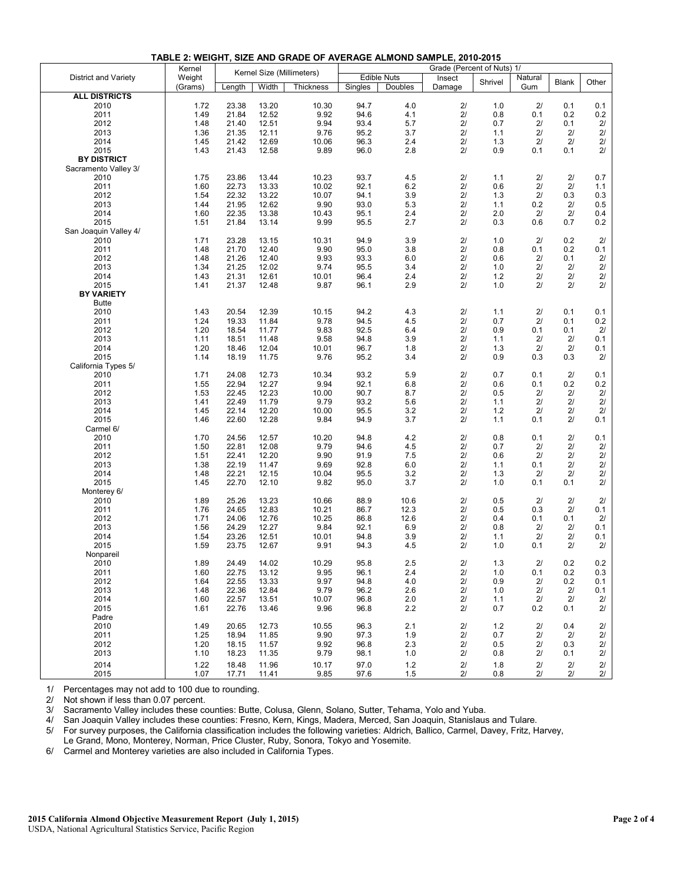|                       | Kernel       | Kernel Size (Millimeters) |                | Grade (Percent of Nuts) 1/ |              |            |          |            |               |              |          |
|-----------------------|--------------|---------------------------|----------------|----------------------------|--------------|------------|----------|------------|---------------|--------------|----------|
| District and Variety  | Weight       |                           |                | Edible Nuts                |              | Insect     |          | Natural    |               |              |          |
|                       | (Grams)      | Length                    | Width          | Thickness                  | Singles      | Doubles    | Damage   | Shrivel    | Gum           | <b>Blank</b> | Other    |
| <b>ALL DISTRICTS</b>  |              |                           |                |                            |              |            |          |            |               |              |          |
| 2010                  | 1.72         | 23.38                     | 13.20          | 10.30                      | 94.7         | 4.0        | 21       | 1.0        | 2/            | 0.1          | 0.1      |
| 2011                  | 1.49         | 21.84                     | 12.52          | 9.92                       | 94.6         | 4.1        | 2/       | 0.8        | 0.1           | 0.2          | 0.2      |
| 2012                  | 1.48         | 21.40                     | 12.51          | 9.94                       | 93.4         | 5.7        | 2/       | 0.7        | 2/            | 0.1          | 2/       |
| 2013                  | 1.36         | 21.35                     | 12.11          | 9.76                       | 95.2         | 3.7        | 21       | 1.1        | 2/            | 21           | 21       |
| 2014                  | 1.45         | 21.42                     | 12.69          | 10.06                      | 96.3         | 2.4        | 2/       | 1.3        | 2/            | 2/           | 2/       |
| 2015                  | 1.43         | 21.43                     | 12.58          | 9.89                       | 96.0         | 2.8        | 2/       | 0.9        | 0.1           | 0.1          | 2/       |
| <b>BY DISTRICT</b>    |              |                           |                |                            |              |            |          |            |               |              |          |
| Sacramento Valley 3/  |              |                           |                |                            |              |            |          |            |               |              |          |
| 2010                  | 1.75         | 23.86                     | 13.44          | 10.23                      | 93.7         | 4.5        | 21       | 1.1        | 21            | 21           | 0.7      |
| 2011                  | 1.60         | 22.73                     | 13.33          | 10.02                      | 92.1         | 6.2        | 2/       | 0.6        | 2/            | 2/           | 1.1      |
| 2012                  | 1.54         | 22.32                     | 13.22          | 10.07                      | 94.1         | 3.9        | 2/       | 1.3        | 2/            | 0.3          | 0.3      |
| 2013                  | 1.44         | 21.95                     | 12.62          | 9.90                       | 93.0         | 5.3        | 2/       | 1.1        | 0.2           | 2/           | 0.5      |
| 2014                  | 1.60         | 22.35                     | 13.38          | 10.43                      | 95.1         | 2.4        | 2/       | 2.0        | 2/            | 2/           | 0.4      |
| 2015                  | 1.51         | 21.84                     | 13.14          | 9.99                       | 95.5         | 2.7        | 21       | 0.3        | 0.6           | 0.7          | 0.2      |
| San Joaquin Valley 4/ |              |                           |                |                            |              |            |          |            |               |              |          |
| 2010                  | 1.71         | 23.28                     | 13.15          | 10.31                      | 94.9         | 3.9        | 2/       | 1.0        | 2/            | 0.2          | 2/       |
| 2011                  | 1.48         | 21.70                     | 12.40          | 9.90                       | 95.0         | 3.8        | 21       | 0.8        | 0.1           | 0.2          | 0.1      |
| 2012                  | 1.48         | 21.26                     | 12.40          | 9.93                       | 93.3         | 6.0        | 2/       | 0.6        | 2/            | 0.1          | 21       |
| 2013                  | 1.34         | 21.25                     | 12.02          | 9.74                       | 95.5         | 3.4        | 2/       | 1.0        | 21            | 21           | 21       |
| 2014                  | 1.43         | 21.31                     | 12.61          | 10.01                      | 96.4         | 2.4        | 2/       | 1.2        | 2/            | 2/           | $2/$     |
| 2015                  | 1.41         | 21.37                     | 12.48          | 9.87                       | 96.1         | 2.9        | 2/       | 1.0        | 2/            | 2/           | 2/       |
| <b>BY VARIETY</b>     |              |                           |                |                            |              |            |          |            |               |              |          |
| <b>Butte</b>          |              |                           |                |                            |              |            |          |            |               |              |          |
| 2010                  | 1.43         | 20.54                     | 12.39          | 10.15                      | 94.2         | 4.3        | 21       | 1.1        | 2/            | 0.1          | 0.1      |
| 2011                  | 1.24         | 19.33                     | 11.84          | 9.78                       | 94.5         | 4.5        | 2/       | 0.7        | 2/            | 0.1          | 0.2      |
| 2012                  | 1.20         | 18.54                     | 11.77          | 9.83                       | 92.5         | 6.4        | 21       | 0.9        | 0.1           | 0.1          | 2/       |
| 2013                  | 1.11         | 18.51                     | 11.48          | 9.58                       | 94.8         | 3.9        | 2/       | 1.1        | 2/            | 21           | 0.1      |
| 2014                  | 1.20         | 18.46                     | 12.04          | 10.01                      | 96.7         | 1.8        | 2/       | 1.3        | 21            | 21           | 0.1      |
| 2015                  | 1.14         | 18.19                     | 11.75          | 9.76                       | 95.2         | 3.4        | 2/       | 0.9        | 0.3           | 0.3          | 2/       |
| California Types 5/   |              |                           |                |                            |              |            |          |            |               |              |          |
| 2010                  | 1.71         | 24.08                     | 12.73          | 10.34                      | 93.2         | 5.9        | 2/       | 0.7        | 0.1           | 2/           | 0.1      |
| 2011                  | 1.55         | 22.94                     | 12.27          | 9.94                       | 92.1         | 6.8        | 2/       | 0.6        | 0.1           | 0.2          | 0.2      |
| 2012                  | 1.53         | 22.45                     | 12.23          | 10.00                      | 90.7         | 8.7        | 2/       | 0.5        | 2/            | 21           | 21       |
| 2013                  | 1.41         | 22.49                     | 11.79          | 9.79                       | 93.2         | 5.6        | 21       | 1.1        | 2/            | 21           | 21       |
| 2014                  | 1.45         | 22.14                     | 12.20          | 10.00                      | 95.5         | 3.2        | 2/       | 1.2        | 2/            | 2/           | 2/       |
| 2015                  | 1.46         | 22.60                     | 12.28          | 9.84                       | 94.9         | 3.7        | 21       | 1.1        | 0.1           | 21           | 0.1      |
| Carmel 6/             |              |                           |                |                            |              |            |          |            |               |              |          |
| 2010                  | 1.70         | 24.56                     | 12.57          | 10.20                      | 94.8         | 4.2        | 2/       | 0.8        | 0.1           | 2/           | 0.1      |
| 2011                  | 1.50         | 22.81                     | 12.08          | 9.79                       | 94.6         | 4.5        | 21       | 0.7        | 2/            | 21           | 21       |
| 2012                  | 1.51         | 22.41                     | 12.20          | 9.90                       | 91.9         | 7.5        | 2/       | 0.6        | 2/            | 2/           | 21       |
| 2013                  | 1.38         | 22.19                     | 11.47          | 9.69                       | 92.8         | 6.0        | 2/       | 1.1        | 0.1           | 21           | 2/       |
| 2014                  | 1.48         | 22.21                     | 12.15          | 10.04                      | 95.5         | 3.2        | 2/       | 1.3        | 2/            | 21           | 2/       |
| 2015                  | 1.45         | 22.70                     | 12.10          | 9.82                       | 95.0         | 3.7        | 2/       | 1.0        | 0.1           | 0.1          | 2/       |
| Monterey 6/           |              |                           |                |                            |              |            |          |            |               |              |          |
| 2010                  | 1.89         | 25.26                     | 13.23          | 10.66                      | 88.9         | 10.6       | 21       | 0.5        | 21            | 21           | 21       |
| 2011                  | 1.76         | 24.65                     | 12.83          | 10.21                      | 86.7         | 12.3       | 2/       | 0.5        | 0.3           | 2/           | 0.1      |
| 2012                  | 1.71         | 24.06                     | 12.76          | 10.25                      | 86.8         | 12.6       | 2/       | 0.4        | 0.1           | 0.1          | 2/       |
| 2013                  | 1.56         | 24.29                     | 12.27          | 9.84                       | 92.1         | 6.9        | 21       | 0.8        | 2/            | 21           | 0.1      |
| 2014                  | 1.54         | 23.26                     | 12.51          | 10.01                      | 94.8         | 3.9        | 2/       | 1.1        | 21            | 2/           | 0.1      |
| 2015                  | 1.59         | 23.75                     | 12.67          | 9.91                       | 94.3         | 4.5        | 2/       | 1.0        | 0.1           | 2/           | 2/       |
| Nonpareil             |              |                           |                |                            |              |            |          |            |               |              |          |
| 2010                  | 1.89         | 24.49                     | 14.02          | 10.29                      | 95.8         | 2.5        | 2l       | 1.3        | $\frac{2}{l}$ | 0.2          | 0.2      |
| 2011                  | 1.60         | 22.75                     | 13.12          | 9.95                       | 96.1         | 2.4        | 21       | 1.0        | 0.1           | 0.2          | 0.3      |
| 2012                  | 1.64         | 22.55                     | 13.33          | 9.97                       | 94.8         | 4.0        | 21       | 0.9        | 21            | 0.2          | 0.1      |
| 2013                  | 1.48         | 22.36                     | 12.84          | 9.79                       | 96.2         | 2.6        | 21       | 1.0        | 21            | 21           | 0.1      |
| 2014                  | 1.60         | 22.57                     | 13.51          | 10.07                      | 96.8         | 2.0        | $2/$     | 1.1        | 21            | 21           | 21       |
| 2015                  | 1.61         | 22.76                     | 13.46          | 9.96                       | 96.8         | 2.2        | 21       | 0.7        | 0.2           | 0.1          | 21       |
| Padre                 |              |                           |                |                            |              |            |          |            |               |              |          |
| 2010                  | 1.49         | 20.65                     | 12.73          | 10.55                      | 96.3         | 2.1        | 21       | 1.2        | 21            | 0.4          | 21       |
| 2011                  | 1.25         | 18.94                     | 11.85          | 9.90                       | 97.3         | 1.9        | 21       | 0.7        | 21            | 21           | 21       |
| 2012                  | 1.20         | 18.15                     | 11.57          | 9.92                       | 96.8         | 2.3        | 21       | 0.5        | 21            | 0.3          | 2/       |
| 2013                  | 1.10         | 18.23                     | 11.35          | 9.79                       | 98.1         | 1.0        | 21       | 0.8        | 21            | 0.1          | 21       |
| 2014                  |              |                           |                |                            |              |            |          |            |               |              |          |
| 2015                  | 1.22<br>1.07 | 18.48<br>17.71            | 11.96<br>11.41 | 10.17<br>9.85              | 97.0<br>97.6 | 1.2<br>1.5 | 21<br>2/ | 1.8<br>0.8 | 21<br>2/      | 2/<br>2/     | 21<br>2/ |

**TABLE 2: WEIGHT, SIZE AND GRADE OF AVERAGE ALMOND SAMPLE, 2010-2015**

1/ Percentages may not add to 100 due to rounding.

2/ Not shown if less than 0.07 percent.

3/ Sacramento Valley includes these counties: Butte, Colusa, Glenn, Solano, Sutter, Tehama, Yolo and Yuba.

4/ San Joaquin Valley includes these counties: Fresno, Kern, Kings, Madera, Merced, San Joaquin, Stanislaus and Tulare.

5/ For survey purposes, the California classification includes the following varieties: Aldrich, Ballico, Carmel, Davey, Fritz, Harvey,

Le Grand, Mono, Monterey, Norman, Price Cluster, Ruby, Sonora, Tokyo and Yosemite.

6/ Carmel and Monterey varieties are also included in California Types.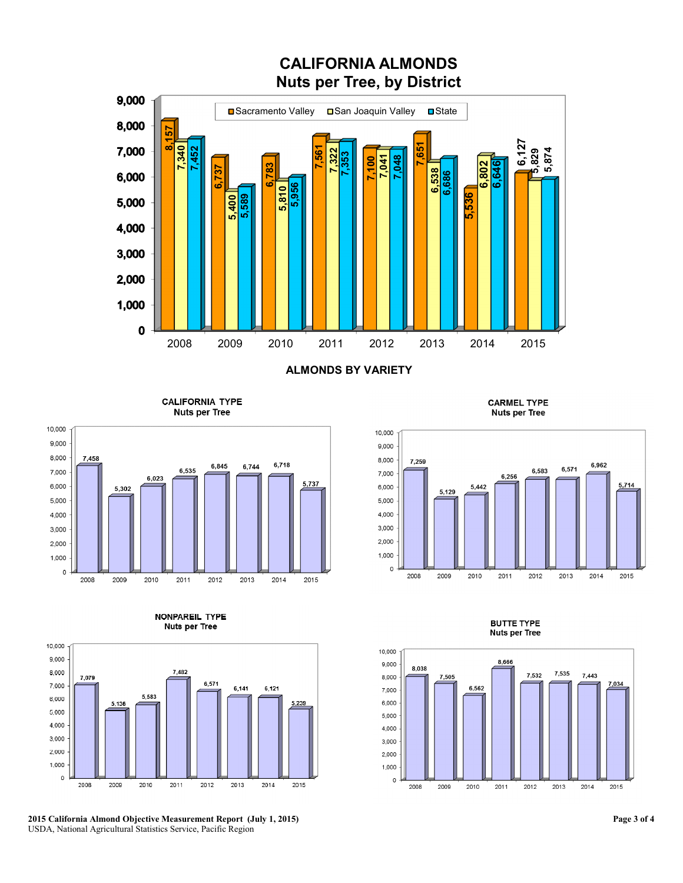

**ALMONDS BY VARIETY** 

**CALIFORNIA TYPE Nuts per Tree** 







**2015 California Almond Objective Measurement Report (July 1, 2015)**  USDA, National Agricultural Statistics Service, Pacific Region

**CARMEL TYPE Nuts per Tree** 



**BUTTE TYPE Nuts per Tree**